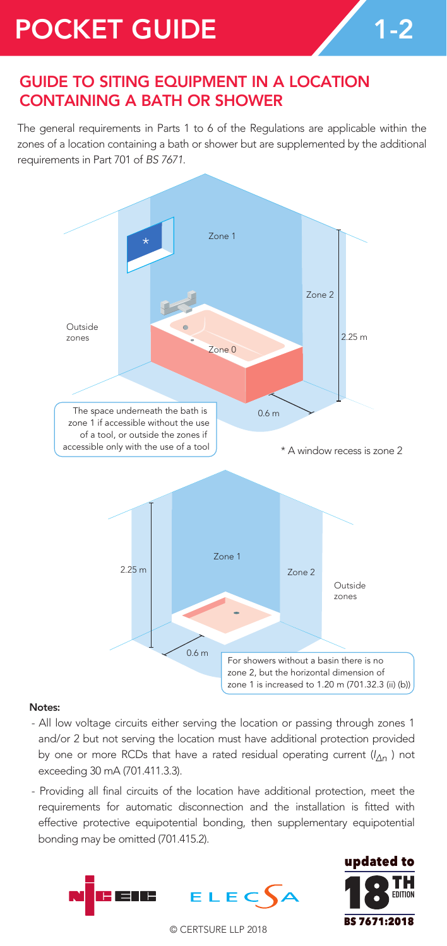## POCKET GUIDE 1-2

## GUIDE TO SITING EQUIPMENT IN A LOCATION CONTAINING A BATH OR SHOWER

The general requirements in Parts 1 to 6 of the Regulations are applicable within the zones of a location containing a bath or shower but are supplemented by the additional requirements in Part 701 of *BS 7671*.



## Notes:

- All low voltage circuits either serving the location or passing through zones 1 and/or 2 but not serving the location must have additional protection provided by one or more RCDs that have a rated residual operating current (*I* <sup>∆</sup>*n* ) not exceeding 30 mA (701.411.3.3).
- Providing all final circuits of the location have additional protection, meet the requirements for automatic disconnection and the installation is fitted with effective protective equipotential bonding, then supplementary equipotential bonding may be omitted (701.415.2).





© CERTSURE LLP 2018